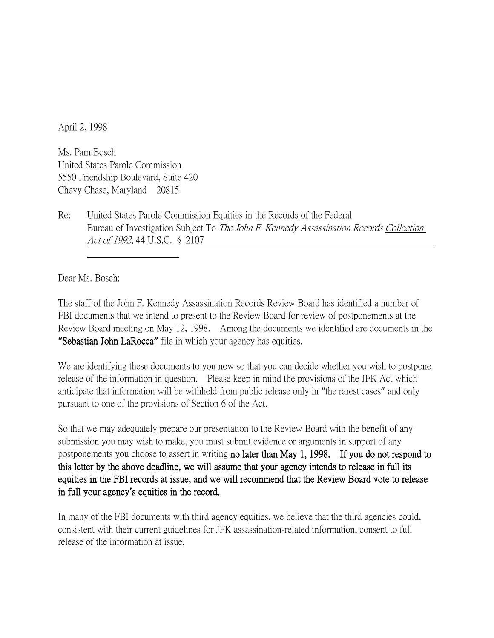April 2, 1998

Ms. Pam Bosch United States Parole Commission 5550 Friendship Boulevard, Suite 420 Chevy Chase, Maryland 20815

Re: United States Parole Commission Equities in the Records of the Federal Bureau of Investigation Subject To The John F. Kennedy Assassination Records Collection Act of 1992, 44 U.S.C. § 2107

Dear Ms. Bosch:

The staff of the John F. Kennedy Assassination Records Review Board has identified a number of FBI documents that we intend to present to the Review Board for review of postponements at the Review Board meeting on May 12, 1998. Among the documents we identified are documents in the **"**Sebastian John LaRocca**"** file in which your agency has equities.

We are identifying these documents to you now so that you can decide whether you wish to postpone release of the information in question. Please keep in mind the provisions of the JFK Act which anticipate that information will be withheld from public release only in "the rarest cases" and only pursuant to one of the provisions of Section 6 of the Act.

So that we may adequately prepare our presentation to the Review Board with the benefit of any submission you may wish to make, you must submit evidence or arguments in support of any postponements you choose to assert in writing no later than May 1, 1998. If you do not respond to this letter by the above deadline, we will assume that your agency intends to release in full its equities in the FBI records at issue, and we will recommend that the Review Board vote to release in full your agency**'**s equities in the record.

In many of the FBI documents with third agency equities, we believe that the third agencies could, consistent with their current guidelines for JFK assassination-related information, consent to full release of the information at issue.